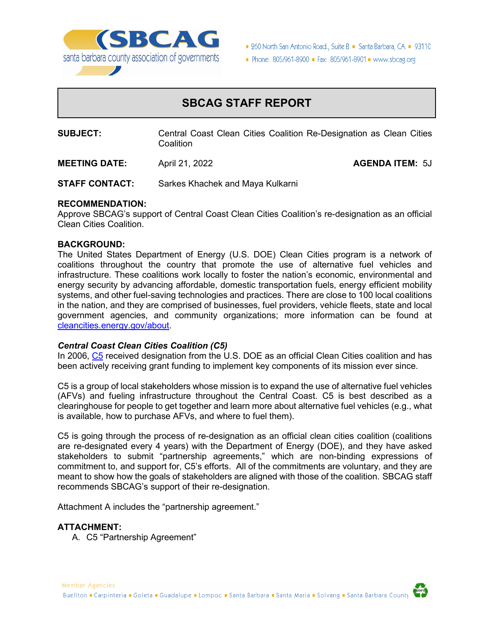

■ 260 North San Antonio Road., Suite B ■ Santa Barbara, CA ■ 93110

Phone: 805/961-8900 = Fax: 805/961-8901 = www.sbcag.org

### **SBCAG STAFF REPORT**

**SUBJECT:** Central Coast Clean Cities Coalition Re-Designation as Clean Cities **Coalition** 

**MEETING DATE:** April 21, 2022 **AGENDA ITEM:** 5J

**STAFF CONTACT:** Sarkes Khachek and Maya Kulkarni

#### **RECOMMENDATION:**

Approve SBCAG's support of Central Coast Clean Cities Coalition's re-designation as an official Clean Cities Coalition.

#### **BACKGROUND:**

The United States Department of Energy (U.S. DOE) Clean Cities program is a network of coalitions throughout the country that promote the use of alternative fuel vehicles and infrastructure. These coalitions work locally to foster the nation's economic, environmental and energy security by advancing affordable, domestic transportation fuels, energy efficient mobility systems, and other fuel-saving technologies and practices. There are close to 100 local coalitions in the nation, and they are comprised of businesses, fuel providers, vehicle fleets, state and local government agencies, and community organizations; more information can be found at [cleancities.energy.gov/about.](https://cleancities.energy.gov/about/)

#### *Central Coast Clean Cities Coalition (C5)*

In 2006, [C5](https://www.c-5.org/) received designation from the U.S. DOE as an official Clean Cities coalition and has been actively receiving grant funding to implement key components of its mission ever since.

C5 is a group of local stakeholders whose mission is to expand the use of alternative fuel vehicles (AFVs) and fueling infrastructure throughout the Central Coast. C5 is best described as a clearinghouse for people to get together and learn more about alternative fuel vehicles (e.g., what is available, how to purchase AFVs, and where to fuel them).

C5 is going through the process of re-designation as an official clean cities coalition (coalitions are re-designated every 4 years) with the Department of Energy (DOE), and they have asked stakeholders to submit "partnership agreements," which are non-binding expressions of commitment to, and support for, C5's efforts. All of the commitments are voluntary, and they are meant to show how the goals of stakeholders are aligned with those of the coalition. SBCAG staff recommends SBCAG's support of their re-designation.

Attachment A includes the "partnership agreement."

#### **ATTACHMENT:**

A. C5 "Partnership Agreement"

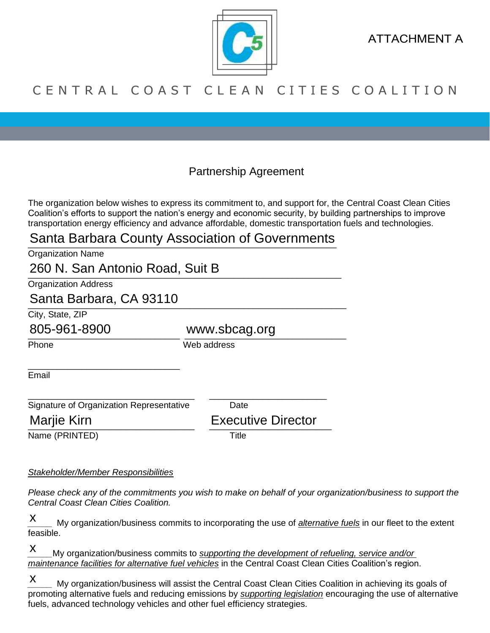

ATTACHMENT A

### C E N T R A L C O A S T C L E A N C I T I E S C O A L I T I O N

Partnership Agreement

The organization below wishes to express its commitment to, and support for, the Central Coast Clean Cities Coalition's efforts to support the nation's energy and economic security, by building partnerships to improve transportation energy efficiency and advance affordable, domestic transportation fuels and technologies.

# Santa Barbara County Association of Governments

| <b>Organization Name</b> |  |
|--------------------------|--|
|                          |  |

\_\_\_\_\_\_\_\_\_\_\_\_\_\_\_\_\_\_\_\_\_\_\_\_\_\_\_\_\_\_\_\_\_\_\_\_\_\_\_\_\_\_\_\_\_\_\_\_\_\_\_\_\_\_\_\_\_\_\_\_\_\_\_\_ 260 N. San Antonio Road, Suit B

Organization Address

## \_\_\_\_\_\_\_\_\_\_\_\_\_\_\_\_\_\_\_\_\_\_\_\_\_\_\_\_\_\_\_\_\_\_\_\_\_\_\_\_\_\_\_\_\_\_\_\_\_\_\_\_\_\_\_\_\_\_\_\_\_\_\_\_\_ Santa Barbara, CA 93110

\_\_\_\_\_\_\_\_\_\_\_\_\_\_\_\_\_\_\_\_\_\_\_\_\_\_\_\_\_\_\_

City, State, ZIP

805-961-8900 www.sbcag.org

Phone Web address

Email

\_\_\_\_\_\_\_\_\_\_\_\_\_\_\_\_\_\_\_\_\_\_\_\_\_\_\_\_\_\_\_\_\_\_ \_\_\_\_\_\_\_\_\_\_\_\_\_\_\_\_\_\_\_\_\_\_\_\_ Signature of Organization Representative Date 805-961-8900 www.sbcag.org<br>
Phone Web address<br>
Email<br>
Signature of Organization Representative Date<br>
Marjie Kirn Executive Director

Marije Kirn **Executive Director** 

Name (PRINTED) Title

### *Stakeholder/Member Responsibilities*

*Please check any of the commitments you wish to make on behalf of your organization/business to support the Central Coast Clean Cities Coalition.*

*\_\_\_\_\_* My organization/business commits to incorporating the use of *alternative fuels* in our fleet to the extent feasible. x

*My organization/business commits to <i>supporting the development of refueling, service and/or maintenance facilities for alternative fuel vehicles* in the Central Coast Clean Cities Coalition's region. x

*\_\_\_\_\_* My organization/business will assist the Central Coast Clean Cities Coalition in achieving its goals of promoting alternative fuels and reducing emissions by *supporting legislation* encouraging the use of alternative fuels, advanced technology vehicles and other fuel efficiency strategies. x